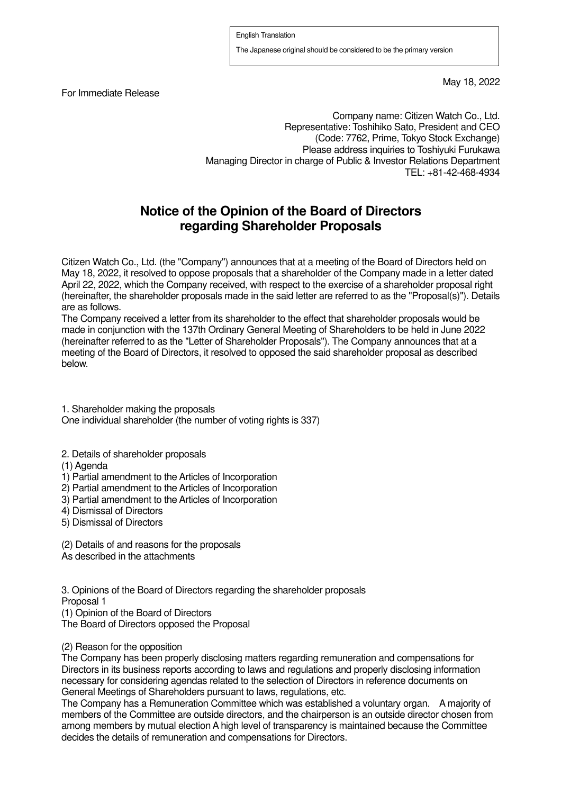For Immediate Release

May 18, 2022

Company name: Citizen Watch Co., Ltd. Representative: Toshihiko Sato, President and CEO (Code: 7762, Prime, Tokyo Stock Exchange) Please address inquiries to Toshiyuki Furukawa Managing Director in charge of Public & Investor Relations Department TEL: +81-42-468-4934

## **Notice of the Opinion of the Board of Directors regarding Shareholder Proposals**

Citizen Watch Co., Ltd. (the "Company") announces that at a meeting of the Board of Directors held on May 18, 2022, it resolved to oppose proposals that a shareholder of the Company made in a letter dated April 22, 2022, which the Company received, with respect to the exercise of a shareholder proposal right (hereinafter, the shareholder proposals made in the said letter are referred to as the "Proposal(s)"). Details are as follows.

The Company received a letter from its shareholder to the effect that shareholder proposals would be made in conjunction with the 137th Ordinary General Meeting of Shareholders to be held in June 2022 (hereinafter referred to as the "Letter of Shareholder Proposals"). The Company announces that at a meeting of the Board of Directors, it resolved to opposed the said shareholder proposal as described below.

1. Shareholder making the proposals One individual shareholder (the number of voting rights is 337)

2. Details of shareholder proposals

(1) Agenda

- 1) Partial amendment to the Articles of Incorporation
- 2) Partial amendment to the Articles of Incorporation
- 3) Partial amendment to the Articles of Incorporation
- 4) Dismissal of Directors
- 5) Dismissal of Directors
- (2) Details of and reasons for the proposals
- As described in the attachments

3. Opinions of the Board of Directors regarding the shareholder proposals Proposal 1

(1) Opinion of the Board of Directors

The Board of Directors opposed the Proposal

(2) Reason for the opposition

The Company has been properly disclosing matters regarding remuneration and compensations for Directors in its business reports according to laws and regulations and properly disclosing information necessary for considering agendas related to the selection of Directors in reference documents on General Meetings of Shareholders pursuant to laws, regulations, etc.

The Company has a Remuneration Committee which was established a voluntary organ. A majority of members of the Committee are outside directors, and the chairperson is an outside director chosen from among members by mutual election A high level of transparency is maintained because the Committee decides the details of remuneration and compensations for Directors.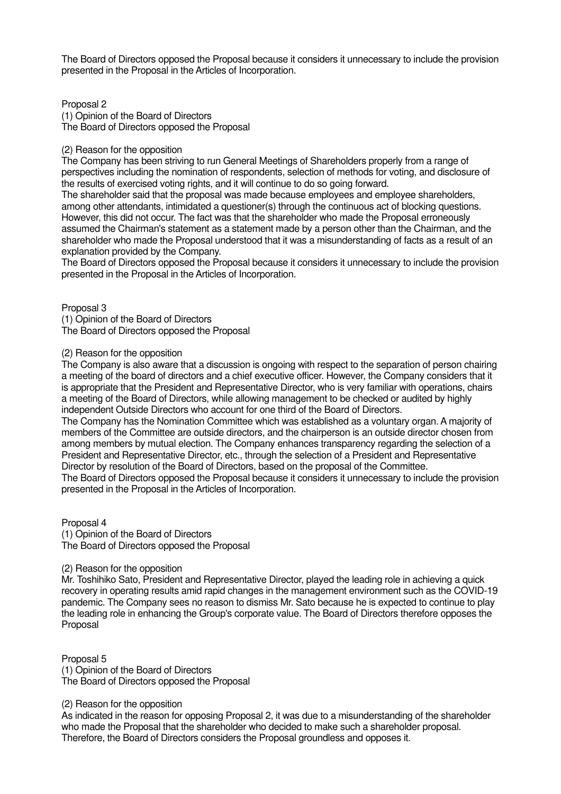The Board of Directors opposed the Proposal because it considers it unnecessary to include the provision presented in the Proposal in the Articles of Incorporation.

Proposal 2 (1) Opinion of the Board of Directors The Board of Directors opposed the Proposal

## (2) Reason for the opposition

The Company has been striving to run General Meetings of Shareholders properly from a range of perspectives including the nomination of respondents, selection of methods for voting, and disclosure of the results of exercised voting rights, and it will continue to do so going forward.

The shareholder said that the proposal was made because employees and employee shareholders, among other attendants, intimidated a questioner(s) through the continuous act of blocking questions. However, this did not occur. The fact was that the shareholder who made the Proposal erroneously assumed the Chairman's statement as a statement made by a person other than the Chairman, and the shareholder who made the Proposal understood that it was a misunderstanding of facts as a result of an explanation provided by the Company.

The Board of Directors opposed the Proposal because it considers it unnecessary to include the provision presented in the Proposal in the Articles of Incorporation.

Proposal 3

(1) Opinion of the Board of Directors The Board of Directors opposed the Proposal

## (2) Reason for the opposition

The Company is also aware that a discussion is ongoing with respect to the separation of person chairing a meeting of the board of directors and a chief executive officer. However, the Company considers that it is appropriate that the President and Representative Director, who is very familiar with operations, chairs a meeting of the Board of Directors, while allowing management to be checked or audited by highly independent Outside Directors who account for one third of the Board of Directors.

The Company has the Nomination Committee which was established as a voluntary organ. A majority of members of the Committee are outside directors, and the chairperson is an outside director chosen from among members by mutual election. The Company enhances transparency regarding the selection of a President and Representative Director, etc., through the selection of a President and Representative Director by resolution of the Board of Directors, based on the proposal of the Committee.

The Board of Directors opposed the Proposal because it considers it unnecessary to include the provision presented in the Proposal in the Articles of Incorporation.

Proposal 4 (1) Opinion of the Board of Directors The Board of Directors opposed the Proposal

## (2) Reason for the opposition

Mr. Toshihiko Sato, President and Representative Director, played the leading role in achieving a quick recovery in operating results amid rapid changes in the management environment such as the COVID-19 pandemic. The Company sees no reason to dismiss Mr. Sato because he is expected to continue to play the leading role in enhancing the Group's corporate value. The Board of Directors therefore opposes the Proposal

Proposal 5

(1) Opinion of the Board of Directors The Board of Directors opposed the Proposal

(2) Reason for the opposition

As indicated in the reason for opposing Proposal 2, it was due to a misunderstanding of the shareholder who made the Proposal that the shareholder who decided to make such a shareholder proposal. Therefore, the Board of Directors considers the Proposal groundless and opposes it.